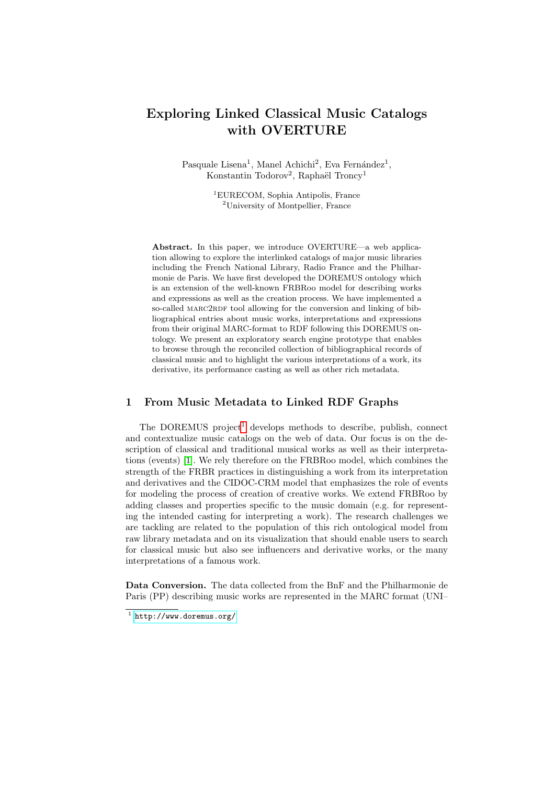# Exploring Linked Classical Music Catalogs with OVERTURE

Pasquale Lisena<sup>1</sup>, Manel Achichi<sup>2</sup>, Eva Fernández<sup>1</sup>, Konstantin Todorov<sup>2</sup>, Raphaël Troncy<sup>1</sup>

> <sup>1</sup>EURECOM, Sophia Antipolis, France <sup>2</sup>University of Montpellier, France

Abstract. In this paper, we introduce OVERTURE—a web application allowing to explore the interlinked catalogs of major music libraries including the French National Library, Radio France and the Philharmonie de Paris. We have first developed the DOREMUS ontology which is an extension of the well-known FRBRoo model for describing works and expressions as well as the creation process. We have implemented a so-called MARC2RDF tool allowing for the conversion and linking of bibliographical entries about music works, interpretations and expressions from their original MARC-format to RDF following this DOREMUS ontology. We present an exploratory search engine prototype that enables to browse through the reconciled collection of bibliographical records of classical music and to highlight the various interpretations of a work, its derivative, its performance casting as well as other rich metadata.

#### 1 From Music Metadata to Linked RDF Graphs

The DOREMUS project<sup>[1](#page-0-0)</sup> develops methods to describe, publish, connect and contextualize music catalogs on the web of data. Our focus is on the description of classical and traditional musical works as well as their interpretations (events) [\[1\]](#page-3-0). We rely therefore on the FRBRoo model, which combines the strength of the FRBR practices in distinguishing a work from its interpretation and derivatives and the CIDOC-CRM model that emphasizes the role of events for modeling the process of creation of creative works. We extend FRBRoo by adding classes and properties specific to the music domain (e.g. for representing the intended casting for interpreting a work). The research challenges we are tackling are related to the population of this rich ontological model from raw library metadata and on its visualization that should enable users to search for classical music but also see influencers and derivative works, or the many interpretations of a famous work.

Data Conversion. The data collected from the BnF and the Philharmonie de Paris (PP) describing music works are represented in the MARC format (UNI–

<span id="page-0-0"></span> $<sup>1</sup>$  <http://www.doremus.org/></sup>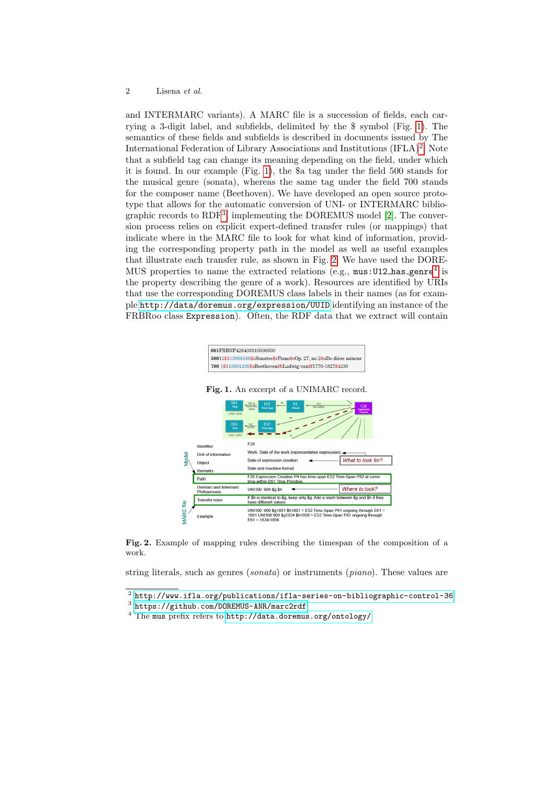#### 2 Lisena et al.

and INTERMARC variants). A MARC file is a succession of fields, each carrying a 3-digit label, and subfields, delimited by the \$ symbol (Fig. [1\)](#page-1-0). The semantics of these fields and subfields is described in documents issued by The International Federation of Library Associations and Institutions  $(IFLA)^2$  $(IFLA)^2$ . Note that a subfield tag can change its meaning depending on the field, under which it is found. In our example (Fig. [1\)](#page-1-0), the \$a tag under the field 500 stands for the musical genre (sonata), whereas the same tag under the field 700 stands for the composer name (Beethoven). We have developed an open source prototype that allows for the automatic conversion of UNI- or INTERMARC biblio-graphic records to RDF<sup>[3](#page-1-2)</sup>, implementing the DOREMUS model [\[2\]](#page-3-1). The conversion process relies on explicit expert-defined transfer rules (or mappings) that indicate where in the MARC file to look for what kind of information, providing the corresponding property path in the model as well as useful examples that illustrate each transfer rule, as shown in Fig. [2.](#page-1-3) We have used the DORE-MUS properties to name the extracted relations (e.g.,  $mus:U12\_has\_generic^4$  $mus:U12\_has\_generic^4$  is the property describing the genre of a work). Resources are identified by URIs that use the corresponding DOREMUS class labels in their names (as for example <http://data/doremus.org/expression/UUID> identifying an instance of the FRBRoo class Expression). Often, the RDF data that we extract will contain

<span id="page-1-0"></span>

<span id="page-1-3"></span>Fig. 2. Example of mapping rules describing the timespan of the composition of a work.

string literals, such as genres (sonata) or instruments (piano). These values are

<span id="page-1-1"></span> $^2$  <http://www.ifla.org/publications/ifla-series-on-bibliographic-control-36>.

<span id="page-1-2"></span><sup>3</sup> <https://github.com/DOREMUS-ANR/marc2rdf>

<span id="page-1-4"></span><sup>4</sup> The mus prefix refers to <http://data.doremus.org/ontology/>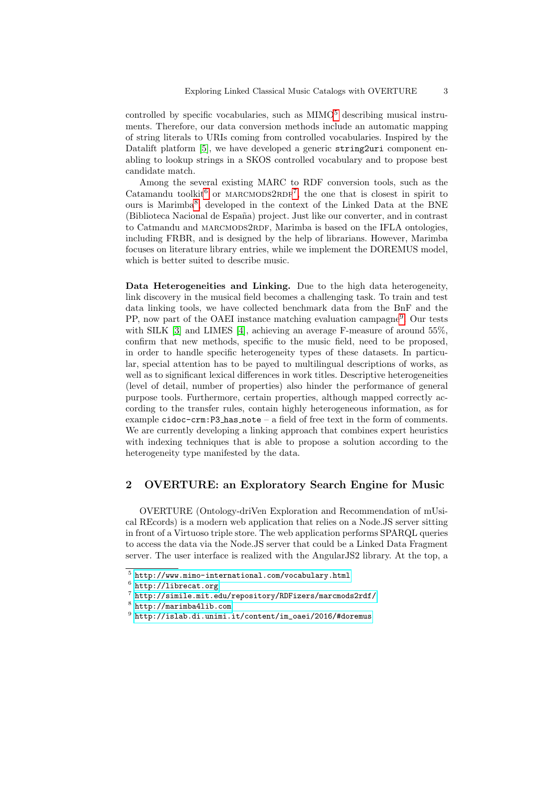controlled by specific vocabularies, such as  $MIMO<sup>5</sup>$  $MIMO<sup>5</sup>$  $MIMO<sup>5</sup>$  describing musical instruments. Therefore, our data conversion methods include an automatic mapping of string literals to URIs coming from controlled vocabularies. Inspired by the Datalift platform [\[5\]](#page-3-2), we have developed a generic string2uri component enabling to lookup strings in a SKOS controlled vocabulary and to propose best candidate match.

Among the several existing MARC to RDF conversion tools, such as the Catamandu toolkit<sup>[6](#page-2-1)</sup> or MARCMODS2RDF<sup>[7](#page-2-2)</sup>, the one that is closest in spirit to ours is Marimba<sup>[8](#page-2-3)</sup>, developed in the context of the Linked Data at the BNE (Biblioteca Nacional de España) project. Just like our converter, and in contrast to Catmandu and MARCMODS2RDF, Marimba is based on the IFLA ontologies, including FRBR, and is designed by the help of librarians. However, Marimba focuses on literature library entries, while we implement the DOREMUS model, which is better suited to describe music.

Data Heterogeneities and Linking. Due to the high data heterogeneity, link discovery in the musical field becomes a challenging task. To train and test data linking tools, we have collected benchmark data from the BnF and the PP, now part of the OAEI instance matching evaluation campagne<sup>[9](#page-2-4)</sup>. Our tests with SILK [\[3\]](#page-3-3) and LIMES [\[4\]](#page-3-4), achieving an average F-measure of around 55%, confirm that new methods, specific to the music field, need to be proposed, in order to handle specific heterogeneity types of these datasets. In particular, special attention has to be payed to multilingual descriptions of works, as well as to significant lexical differences in work titles. Descriptive heterogeneities (level of detail, number of properties) also hinder the performance of general purpose tools. Furthermore, certain properties, although mapped correctly according to the transfer rules, contain highly heterogeneous information, as for example cidoc-crm: $P3$  has note – a field of free text in the form of comments. We are currently developing a linking approach that combines expert heuristics with indexing techniques that is able to propose a solution according to the heterogeneity type manifested by the data.

### 2 OVERTURE: an Exploratory Search Engine for Music

OVERTURE (Ontology-driVen Exploration and Recommendation of mUsical REcords) is a modern web application that relies on a Node.JS server sitting in front of a Virtuoso triple store. The web application performs SPARQL queries to access the data via the Node.JS server that could be a Linked Data Fragment server. The user interface is realized with the AngularJS2 library. At the top, a

<span id="page-2-0"></span> $^5$  <http://www.mimo-international.com/vocabulary.html>

<span id="page-2-1"></span> $^6$  <http://librecat.org>

<span id="page-2-2"></span><sup>7</sup> <http://simile.mit.edu/repository/RDFizers/marcmods2rdf/>

<span id="page-2-3"></span><sup>8</sup> <http://marimba4lib.com>

<span id="page-2-4"></span> $^9$  [http://islab.di.unimi.it/content/im\\_oaei/2016/#doremus](http://islab.di.unimi.it/content/im_oaei/2016/#doremus)